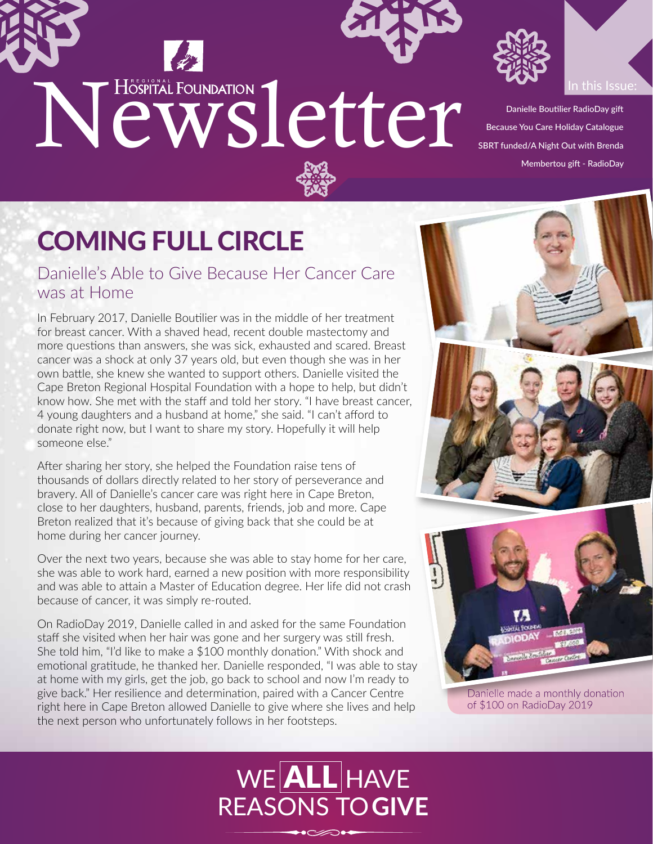



Danielle Boutilier RadioDay gift Because You Care Holiday Catalogue SBRT funded/A Night Out with Brenda Membertou gift - RadioDay

Danielle made a monthly donation of \$100 on RadioDay 2019

## COMING FULL CIRCLE

Danielle's Able to Give Because Her Cancer Care was at Home

In February 2017, Danielle Boutilier was in the middle of her treatment for breast cancer. With a shaved head, recent double mastectomy and more questions than answers, she was sick, exhausted and scared. Breast cancer was a shock at only 37 years old, but even though she was in her own battle, she knew she wanted to support others. Danielle visited the Cape Breton Regional Hospital Foundation with a hope to help, but didn't know how. She met with the staff and told her story. "I have breast cancer, 4 young daughters and a husband at home," she said. "I can't afford to donate right now, but I want to share my story. Hopefully it will help someone else."

After sharing her story, she helped the Foundation raise tens of thousands of dollars directly related to her story of perseverance and bravery. All of Danielle's cancer care was right here in Cape Breton, close to her daughters, husband, parents, friends, job and more. Cape Breton realized that it's because of giving back that she could be at home during her cancer journey.

Over the next two years, because she was able to stay home for her care, she was able to work hard, earned a new position with more responsibility and was able to attain a Master of Education degree. Her life did not crash because of cancer, it was simply re-routed.

On RadioDay 2019, Danielle called in and asked for the same Foundation staff she visited when her hair was gone and her surgery was still fresh. She told him, "I'd like to make a \$100 monthly donation." With shock and emotional gratitude, he thanked her. Danielle responded, "I was able to stay at home with my girls, get the job, go back to school and now I'm ready to give back." Her resilience and determination, paired with a Cancer Centre right here in Cape Breton allowed Danielle to give where she lives and help the next person who unfortunately follows in her footsteps.

## $WE[ALL]$ HAVE REASONS TO **GIVE**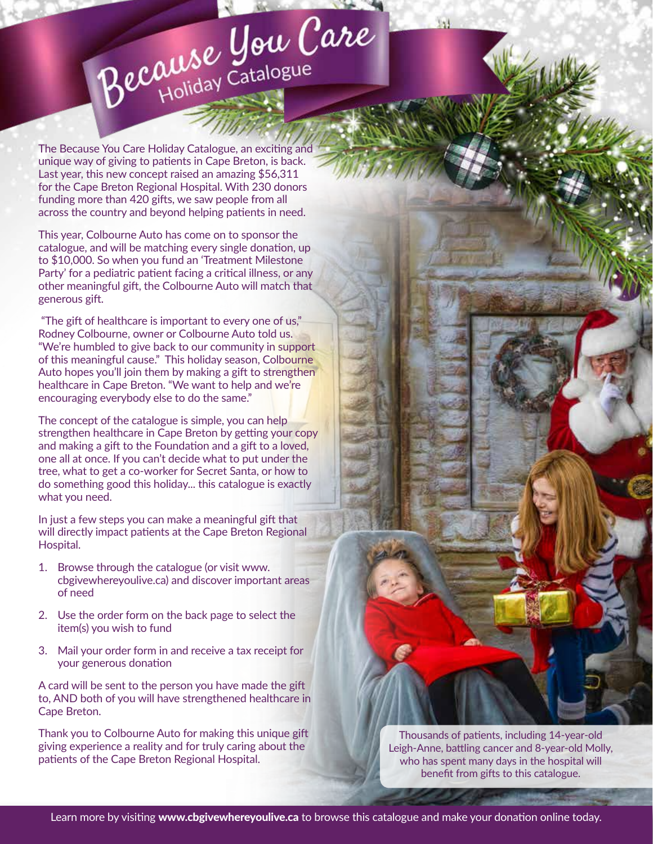# Because You Care

The Because You Care Holiday Catalogue, an exciting and unique way of giving to patients in Cape Breton, is back. Last year, this new concept raised an amazing \$56,311 for the Cape Breton Regional Hospital. With 230 donors funding more than 420 gifts, we saw people from all across the country and beyond helping patients in need.

This year, Colbourne Auto has come on to sponsor the catalogue, and will be matching every single donation, up to \$10,000. So when you fund an 'Treatment Milestone Party' for a pediatric patient facing a critical illness, or any other meaningful gift, the Colbourne Auto will match that generous gift.

 "The gift of healthcare is important to every one of us," Rodney Colbourne, owner or Colbourne Auto told us. "We're humbled to give back to our community in support of this meaningful cause." This holiday season, Colbourne Auto hopes you'll join them by making a gift to strengthen healthcare in Cape Breton. "We want to help and we're encouraging everybody else to do the same."

The concept of the catalogue is simple, you can help strengthen healthcare in Cape Breton by getting your copy and making a gift to the Foundation and a gift to a loved, one all at once. If you can't decide what to put under the tree, what to get a co-worker for Secret Santa, or how to do something good this holiday... this catalogue is exactly what you need.

In just a few steps you can make a meaningful gift that will directly impact patients at the Cape Breton Regional Hospital.

- 1. Browse through the catalogue (or visit www. cbgivewhereyoulive.ca) and discover important areas of need
- 2. Use the order form on the back page to select the item(s) you wish to fund
- 3. Mail your order form in and receive a tax receipt for your generous donation

A card will be sent to the person you have made the gift to, AND both of you will have strengthened healthcare in Cape Breton.

Thank you to Colbourne Auto for making this unique gift giving experience a reality and for truly caring about the patients of the Cape Breton Regional Hospital.

Thousands of patients, including 14-year-old Leigh-Anne, battling cancer and 8-year-old Molly, who has spent many days in the hospital will benefit from gifts to this catalogue.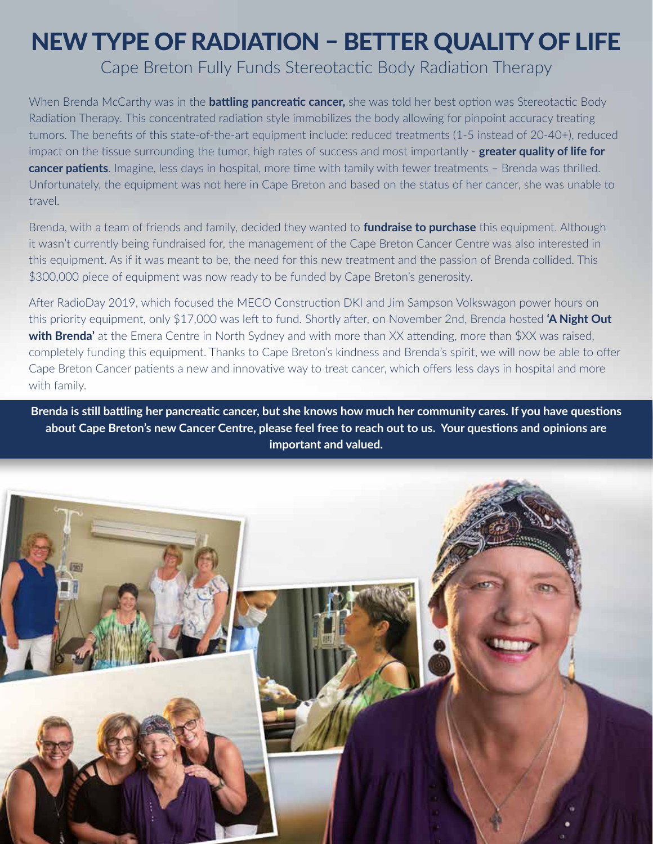### NEW TYPE OF RADIATION – BETTER QUALITY OF LIFE

Cape Breton Fully Funds Stereotactic Body Radiation Therapy

When Brenda McCarthy was in the **battling pancreatic cancer,** she was told her best option was Stereotactic Body Radiation Therapy. This concentrated radiation style immobilizes the body allowing for pinpoint accuracy treating tumors. The benefits of this state-of-the-art equipment include: reduced treatments (1-5 instead of 20-40+), reduced impact on the tissue surrounding the tumor, high rates of success and most importantly - **greater quality of life for cancer patients**. Imagine, less days in hospital, more time with family with fewer treatments – Brenda was thrilled. Unfortunately, the equipment was not here in Cape Breton and based on the status of her cancer, she was unable to travel.

Brenda, with a team of friends and family, decided they wanted to **fundraise to purchase** this equipment. Although it wasn't currently being fundraised for, the management of the Cape Breton Cancer Centre was also interested in this equipment. As if it was meant to be, the need for this new treatment and the passion of Brenda collided. This \$300,000 piece of equipment was now ready to be funded by Cape Breton's generosity.

After RadioDay 2019, which focused the MECO Construction DKI and Jim Sampson Volkswagon power hours on this priority equipment, only \$17,000 was left to fund. Shortly after, on November 2nd, Brenda hosted **'A Night Out with Brenda'** at the Emera Centre in North Sydney and with more than XX attending, more than \$XX was raised, completely funding this equipment. Thanks to Cape Breton's kindness and Brenda's spirit, we will now be able to offer Cape Breton Cancer patients a new and innovative way to treat cancer, which offers less days in hospital and more with family.

**Brenda is still battling her pancreatic cancer, but she knows how much her community cares. If you have questions about Cape Breton's new Cancer Centre, please feel free to reach out to us. Your questions and opinions are important and valued.**